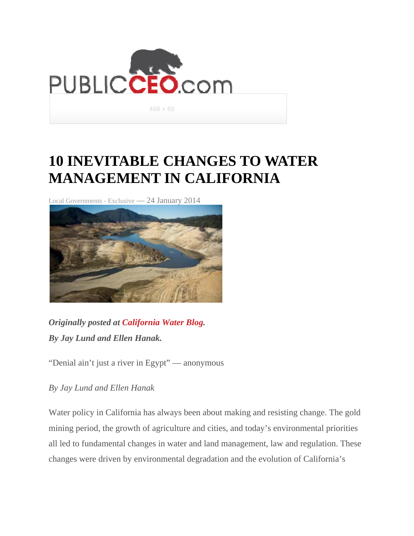

## **10 INEVITABLE CHANGES TO WATER MANAGEMENT IN CALIFORNIA**

Local Governments - Exclusive — 24 January 2014



*Originally posted at California Water Blog. By Jay Lund and Ellen Hanak.*

"Denial ain't just a river in Egypt" — anonymous

*By Jay Lund and Ellen Hanak*

Water policy in California has always been about making and resisting change. The gold mining period, the growth of agriculture and cities, and today's environmental priorities all led to fundamental changes in water and land management, law and regulation. These changes were driven by environmental degradation and the evolution of California's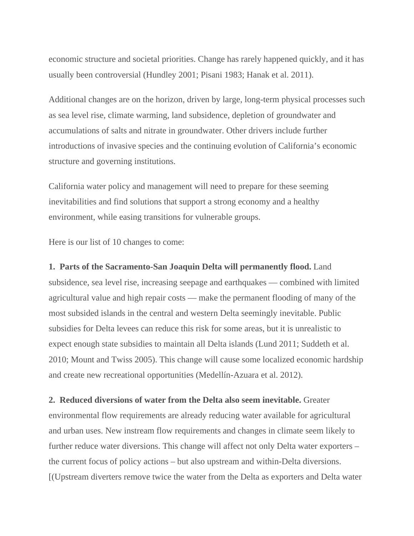economic structure and societal priorities. Change has rarely happened quickly, and it has usually been controversial (Hundley 2001; Pisani 1983; Hanak et al. 2011).

Additional changes are on the horizon, driven by large, long-term physical processes such as sea level rise, climate warming, land subsidence, depletion of groundwater and accumulations of salts and nitrate in groundwater. Other drivers include further introductions of invasive species and the continuing evolution of California's economic structure and governing institutions.

California water policy and management will need to prepare for these seeming inevitabilities and find solutions that support a strong economy and a healthy environment, while easing transitions for vulnerable groups.

Here is our list of 10 changes to come:

**1. Parts of the Sacramento-San Joaquin Delta will permanently flood.** Land subsidence, sea level rise, increasing seepage and earthquakes — combined with limited agricultural value and high repair costs — make the permanent flooding of many of the most subsided islands in the central and western Delta seemingly inevitable. Public subsidies for Delta levees can reduce this risk for some areas, but it is unrealistic to expect enough state subsidies to maintain all Delta islands (Lund 2011; Suddeth et al. 2010; Mount and Twiss 2005). This change will cause some localized economic hardship and create new recreational opportunities (Medellín-Azuara et al. 2012).

**2. Reduced diversions of water from the Delta also seem inevitable.** Greater

environmental flow requirements are already reducing water available for agricultural and urban uses. New instream flow requirements and changes in climate seem likely to further reduce water diversions. This change will affect not only Delta water exporters – the current focus of policy actions – but also upstream and within-Delta diversions. [(Upstream diverters remove twice the water from the Delta as exporters and Delta water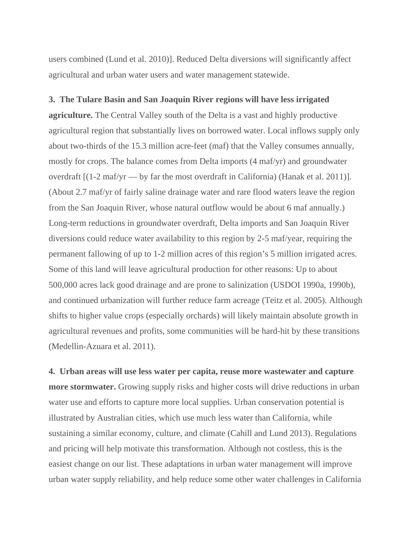users combined (Lund et al. 2010)]. Reduced Delta diversions will significantly affect agricultural and urban water users and water management statewide.

#### **3. The Tulare Basin and San Joaquin River regions will have less irrigated**

**agriculture.** The Central Valley south of the Delta is a vast and highly productive agricultural region that substantially lives on borrowed water. Local inflows supply only about two-thirds of the 15.3 million acre-feet (maf) that the Valley consumes annually, mostly for crops. The balance comes from Delta imports (4 maf/yr) and groundwater overdraft [(1-2 maf/yr — by far the most overdraft in California) (Hanak et al. 2011)]. (About 2.7 maf/yr of fairly saline drainage water and rare flood waters leave the region from the San Joaquin River, whose natural outflow would be about 6 maf annually.) Long-term reductions in groundwater overdraft, Delta imports and San Joaquin River diversions could reduce water availability to this region by 2-5 maf/year, requiring the permanent fallowing of up to 1-2 million acres of this region's 5 million irrigated acres. Some of this land will leave agricultural production for other reasons: Up to about 500,000 acres lack good drainage and are prone to salinization (USDOI 1990a, 1990b), and continued urbanization will further reduce farm acreage (Teitz et al. 2005). Although shifts to higher value crops (especially orchards) will likely maintain absolute growth in agricultural revenues and profits, some communities will be hard-hit by these transitions (Medellin-Azuara et al. 2011).

**4. Urban areas will use less water per capita, reuse more wastewater and capture more stormwater.** Growing supply risks and higher costs will drive reductions in urban water use and efforts to capture more local supplies. Urban conservation potential is illustrated by Australian cities, which use much less water than California, while sustaining a similar economy, culture, and climate (Cahill and Lund 2013). Regulations and pricing will help motivate this transformation. Although not costless, this is the easiest change on our list. These adaptations in urban water management will improve urban water supply reliability, and help reduce some other water challenges in California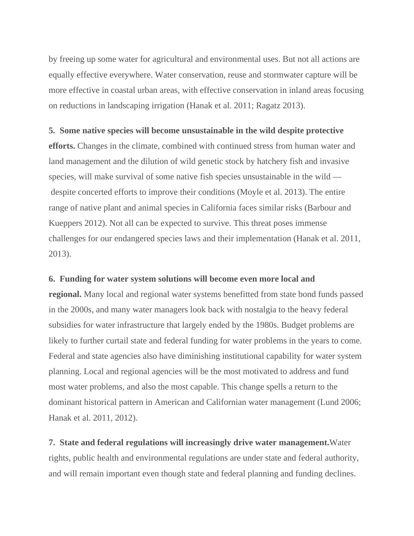by freeing up some water for agricultural and environmental uses. But not all actions are equally effective everywhere. Water conservation, reuse and stormwater capture will be more effective in coastal urban areas, with effective conservation in inland areas focusing on reductions in landscaping irrigation (Hanak et al. 2011; Ragatz 2013).

#### **5. Some native species will become unsustainable in the wild despite protective**

**efforts.** Changes in the climate, combined with continued stress from human water and land management and the dilution of wild genetic stock by hatchery fish and invasive species, will make survival of some native fish species unsustainable in the wild despite concerted efforts to improve their conditions (Moyle et al. 2013). The entire range of native plant and animal species in California faces similar risks (Barbour and Kueppers 2012). Not all can be expected to survive. This threat poses immense challenges for our endangered species laws and their implementation (Hanak et al. 2011, 2013).

#### **6. Funding for water system solutions will become even more local and**

**regional.** Many local and regional water systems benefitted from state bond funds passed in the 2000s, and many water managers look back with nostalgia to the heavy federal subsidies for water infrastructure that largely ended by the 1980s. Budget problems are likely to further curtail state and federal funding for water problems in the years to come. Federal and state agencies also have diminishing institutional capability for water system planning. Local and regional agencies will be the most motivated to address and fund most water problems, and also the most capable. This change spells a return to the dominant historical pattern in American and Californian water management (Lund 2006; Hanak et al. 2011, 2012).

**7. State and federal regulations will increasingly drive water management.**Water rights, public health and environmental regulations are under state and federal authority, and will remain important even though state and federal planning and funding declines.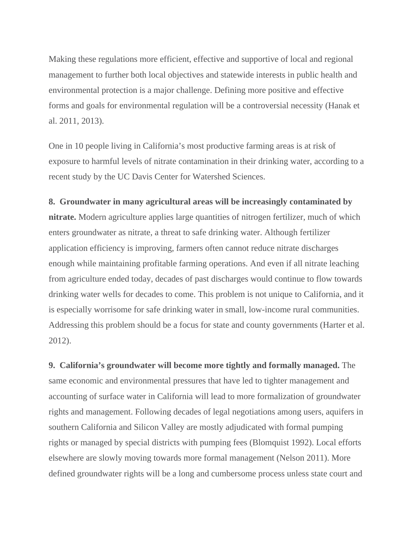Making these regulations more efficient, effective and supportive of local and regional management to further both local objectives and statewide interests in public health and environmental protection is a major challenge. Defining more positive and effective forms and goals for environmental regulation will be a controversial necessity (Hanak et al. 2011, 2013).

One in 10 people living in California's most productive farming areas is at risk of exposure to harmful levels of nitrate contamination in their drinking water, according to a recent study by the UC Davis Center for Watershed Sciences.

#### **8. Groundwater in many agricultural areas will be increasingly contaminated by**

**nitrate.** Modern agriculture applies large quantities of nitrogen fertilizer, much of which enters groundwater as nitrate, a threat to safe drinking water. Although fertilizer application efficiency is improving, farmers often cannot reduce nitrate discharges enough while maintaining profitable farming operations. And even if all nitrate leaching from agriculture ended today, decades of past discharges would continue to flow towards drinking water wells for decades to come. This problem is not unique to California, and it is especially worrisome for safe drinking water in small, low-income rural communities. Addressing this problem should be a focus for state and county governments (Harter et al. 2012).

**9. California's groundwater will become more tightly and formally managed.** The same economic and environmental pressures that have led to tighter management and accounting of surface water in California will lead to more formalization of groundwater rights and management. Following decades of legal negotiations among users, aquifers in southern California and Silicon Valley are mostly adjudicated with formal pumping rights or managed by special districts with pumping fees (Blomquist 1992). Local efforts elsewhere are slowly moving towards more formal management (Nelson 2011). More defined groundwater rights will be a long and cumbersome process unless state court and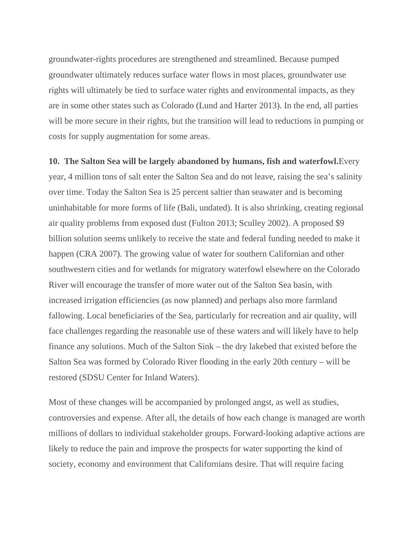groundwater-rights procedures are strengthened and streamlined. Because pumped groundwater ultimately reduces surface water flows in most places, groundwater use rights will ultimately be tied to surface water rights and environmental impacts, as they are in some other states such as Colorado (Lund and Harter 2013). In the end, all parties will be more secure in their rights, but the transition will lead to reductions in pumping or costs for supply augmentation for some areas.

#### **10. The Salton Sea will be largely abandoned by humans, fish and waterfowl.**Every

year, 4 million tons of salt enter the Salton Sea and do not leave, raising the sea's salinity over time. Today the Salton Sea is 25 percent saltier than seawater and is becoming uninhabitable for more forms of life (Bali, undated). It is also shrinking, creating regional air quality problems from exposed dust (Fulton 2013; Sculley 2002). A proposed \$9 billion solution seems unlikely to receive the state and federal funding needed to make it happen (CRA 2007). The growing value of water for southern Californian and other southwestern cities and for wetlands for migratory waterfowl elsewhere on the Colorado River will encourage the transfer of more water out of the Salton Sea basin, with increased irrigation efficiencies (as now planned) and perhaps also more farmland fallowing. Local beneficiaries of the Sea, particularly for recreation and air quality, will face challenges regarding the reasonable use of these waters and will likely have to help finance any solutions. Much of the Salton Sink – the dry lakebed that existed before the Salton Sea was formed by Colorado River flooding in the early 20th century – will be restored (SDSU Center for Inland Waters).

Most of these changes will be accompanied by prolonged angst, as well as studies, controversies and expense. After all, the details of how each change is managed are worth millions of dollars to individual stakeholder groups. Forward-looking adaptive actions are likely to reduce the pain and improve the prospects for water supporting the kind of society, economy and environment that Californians desire. That will require facing